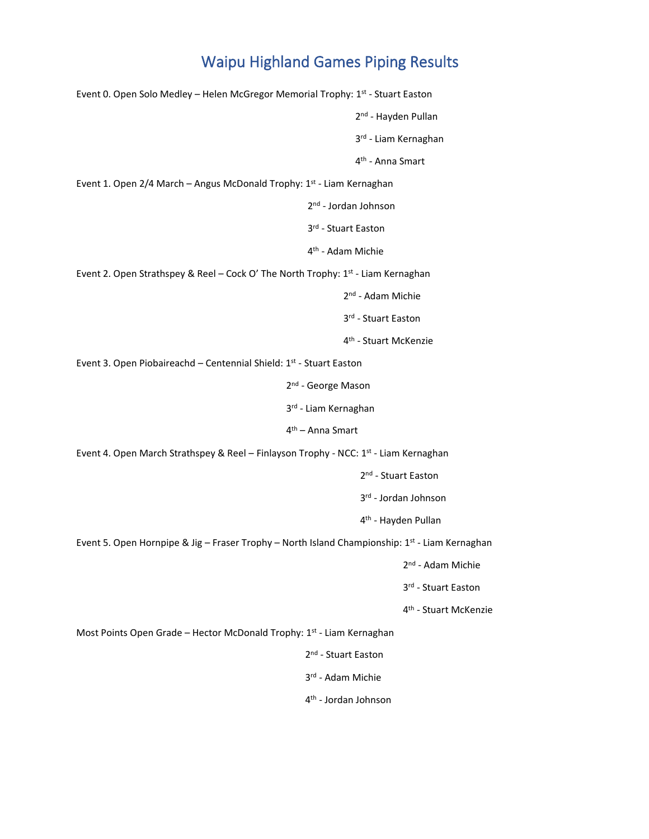Event 0. Open Solo Medley – Helen McGregor Memorial Trophy: 1<sup>st</sup> - Stuart Easton 2<sup>nd</sup> - Hayden Pullan 3<sup>rd</sup> - Liam Kernaghan 4<sup>th</sup> - Anna Smart Event 1. Open 2/4 March – Angus McDonald Trophy: 1st - Liam Kernaghan 2<sup>nd</sup> - Jordan Johnson 3<sup>rd</sup> - Stuart Easton 4<sup>th</sup> - Adam Michie Event 2. Open Strathspey & Reel - Cock O' The North Trophy: 1<sup>st</sup> - Liam Kernaghan 2<sup>nd</sup> - Adam Michie 3 rd - Stuart Easton 4<sup>th</sup> - Stuart McKenzie Event 3. Open Piobaireachd - Centennial Shield: 1<sup>st</sup> - Stuart Easton 2<sup>nd</sup> - George Mason 3<sup>rd</sup> - Liam Kernaghan 4<sup>th</sup> – Anna Smart Event 4. Open March Strathspey & Reel - Finlayson Trophy - NCC: 1<sup>st</sup> - Liam Kernaghan 2<sup>nd</sup> - Stuart Easton 3<sup>rd</sup> - Jordan Johnson 4<sup>th</sup> - Hayden Pullan Event 5. Open Hornpipe & Jig – Fraser Trophy – North Island Championship: 1st - Liam Kernaghan 2<sup>nd</sup> - Adam Michie 3<sup>rd</sup> - Stuart Easton 4<sup>th</sup> - Stuart McKenzie Most Points Open Grade – Hector McDonald Trophy: 1st - Liam Kernaghan 2<sup>nd</sup> - Stuart Easton 3 rd - Adam Michie 4<sup>th</sup> - Jordan Johnson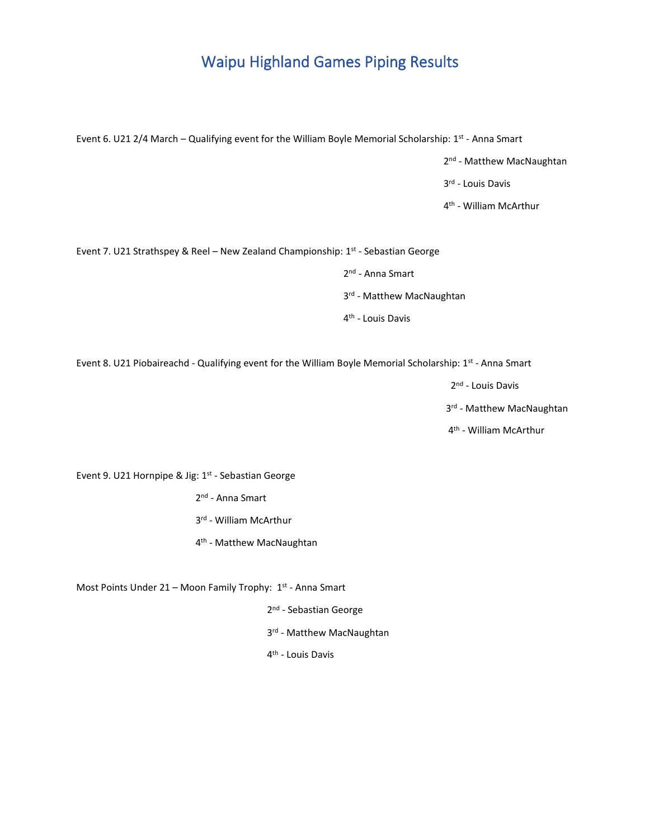Event 6. U21 2/4 March – Qualifying event for the William Boyle Memorial Scholarship: 1st - Anna Smart

2<sup>nd</sup> - Matthew MacNaughtan

3<sup>rd</sup> - Louis Davis

4<sup>th</sup> - William McArthur

Event 7. U21 Strathspey & Reel - New Zealand Championship: 1st - Sebastian George

2<sup>nd</sup> - Anna Smart

3<sup>rd</sup> - Matthew MacNaughtan

4<sup>th</sup> - Louis Davis

Event 8. U21 Piobaireachd - Qualifying event for the William Boyle Memorial Scholarship: 1st - Anna Smart

2<sup>nd</sup> - Louis Davis

3<sup>rd</sup> - Matthew MacNaughtan

4<sup>th</sup> - William McArthur

Event 9. U21 Hornpipe & Jig: 1<sup>st</sup> - Sebastian George

2<sup>nd</sup> - Anna Smart

3 rd - William McArthur

4<sup>th</sup> - Matthew MacNaughtan

Most Points Under 21 - Moon Family Trophy: 1st - Anna Smart

2<sup>nd</sup> - Sebastian George

3<sup>rd</sup> - Matthew MacNaughtan

4<sup>th</sup> - Louis Davis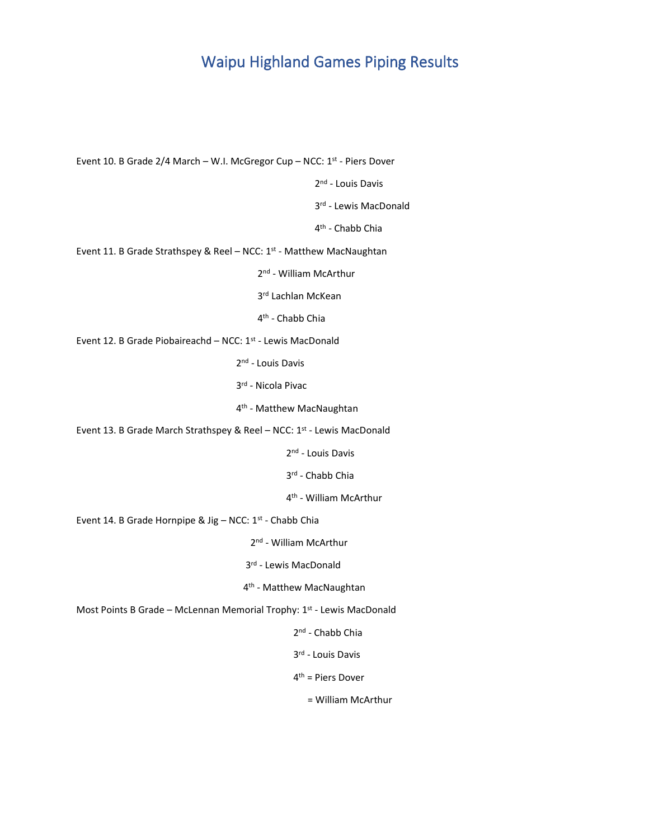Event 10. B Grade 2/4 March - W.I. McGregor Cup - NCC: 1<sup>st</sup> - Piers Dover 2<sup>nd</sup> - Louis Davis 3<sup>rd</sup> - Lewis MacDonald 4<sup>th</sup> - Chabb Chia Event 11. B Grade Strathspey & Reel - NCC: 1<sup>st</sup> - Matthew MacNaughtan 2<sup>nd</sup> - William McArthur 3<sup>rd</sup> Lachlan McKean 4<sup>th</sup> - Chabb Chia Event 12. B Grade Piobaireachd - NCC: 1<sup>st</sup> - Lewis MacDonald 2<sup>nd</sup> - Louis Davis 3 rd - Nicola Pivac 4<sup>th</sup> - Matthew MacNaughtan Event 13. B Grade March Strathspey & Reel – NCC: 1<sup>st</sup> - Lewis MacDonald 2<sup>nd</sup> - Louis Davis 3 rd - Chabb Chia 4<sup>th</sup> - William McArthur Event 14. B Grade Hornpipe & Jig – NCC: 1<sup>st</sup> - Chabb Chia 2<sup>nd</sup> - William McArthur 3 rd - Lewis MacDonald 4<sup>th</sup> - Matthew MacNaughtan Most Points B Grade – McLennan Memorial Trophy: 1<sup>st</sup> - Lewis MacDonald 2<sup>nd</sup> - Chabb Chia 3<sup>rd</sup> - Louis Davis 4<sup>th</sup> = Piers Dover = William McArthur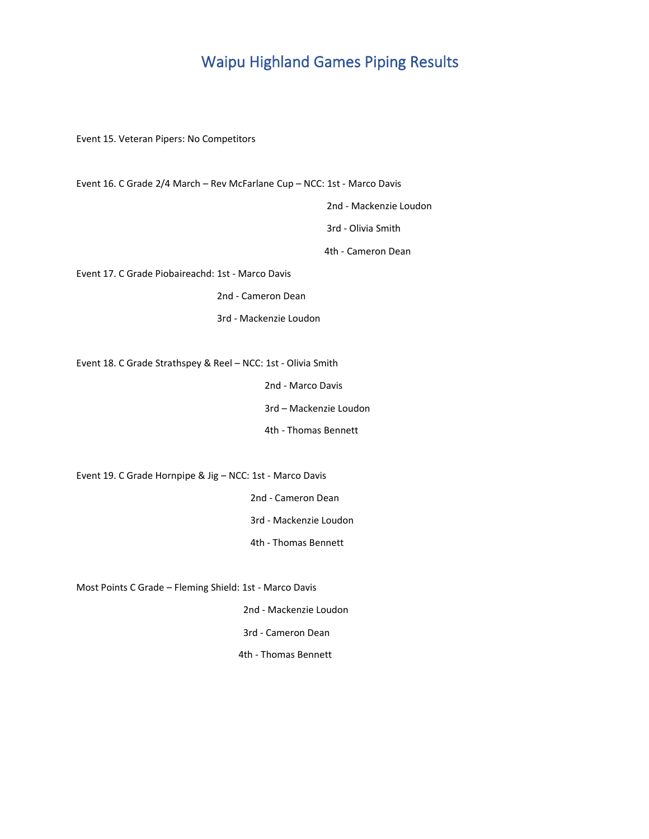Event 15. Veteran Pipers: No Competitors

 2nd - Mackenzie Loudon 3rd - Olivia Smith 4th - Cameron Dean Event 17. C Grade Piobaireachd: 1st - Marco Davis 2nd - Cameron Dean 3rd - Mackenzie Loudon Event 18. C Grade Strathspey & Reel – NCC: 1st - Olivia Smith 2nd - Marco Davis 3rd – Mackenzie Loudon 4th - Thomas Bennett Event 19. C Grade Hornpipe & Jig – NCC: 1st - Marco Davis 2nd - Cameron Dean 3rd - Mackenzie Loudon 4th - Thomas Bennett Most Points C Grade – Fleming Shield: 1st - Marco Davis 2nd - Mackenzie Loudon 3rd - Cameron Dean

Event 16. C Grade 2/4 March – Rev McFarlane Cup – NCC: 1st - Marco Davis

4th - Thomas Bennett